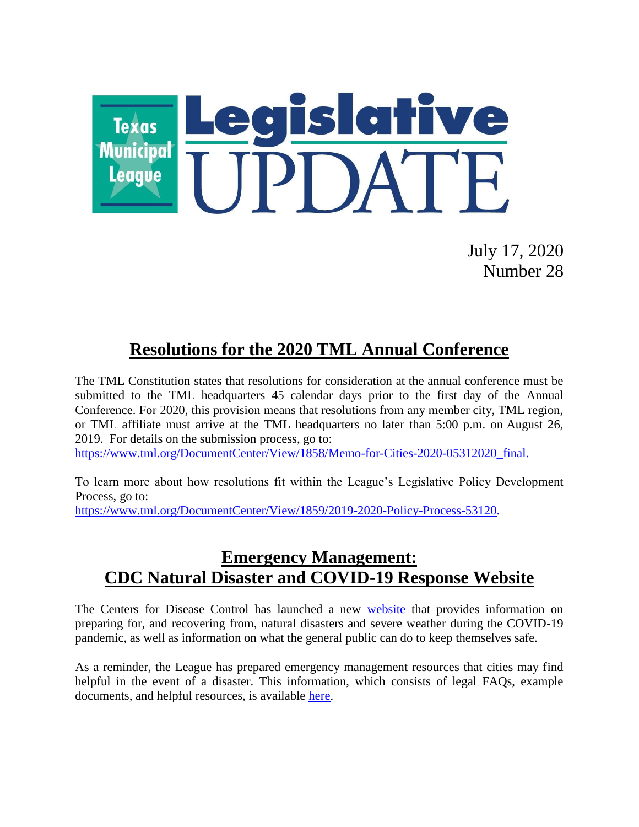

July 17, 2020 Number 28

# **Resolutions for the 2020 TML Annual Conference**

The TML Constitution states that resolutions for consideration at the annual conference must be submitted to the TML headquarters 45 calendar days prior to the first day of the Annual Conference. For 2020, this provision means that resolutions from any member city, TML region, or TML affiliate must arrive at the TML headquarters no later than 5:00 p.m. on August 26, 2019. For details on the submission process, go to:

[https://www.tml.org/DocumentCenter/View/1858/Memo-for-Cities-2020-05312020\\_final.](https://www.tml.org/DocumentCenter/View/1858/Memo-for-Cities-2020-05312020_final)

To learn more about how resolutions fit within the League's Legislative Policy Development Process, go to:

[https://www.tml.org/DocumentCenter/View/1859/2019-2020-Policy-Process-53120.](https://www.tml.org/DocumentCenter/View/1859/2019-2020-Policy-Process-53120)

#### **Emergency Management: CDC Natural Disaster and COVID-19 Response Website**

The Centers for Disease Control has launched a new [website](https://www.cdc.gov/disasters/covid-19/disasters_severe_weather_and_covid-19.html?deliveryName=USCDC_2062-DM33192) that provides information on preparing for, and recovering from, natural disasters and severe weather during the COVID-19 pandemic, as well as information on what the general public can do to keep themselves safe.

As a reminder, the League has prepared emergency management resources that cities may find helpful in the event of a disaster. This information, which consists of legal FAQs, example documents, and helpful resources, is available [here.](https://www.tml.org/260/Emergency-Management)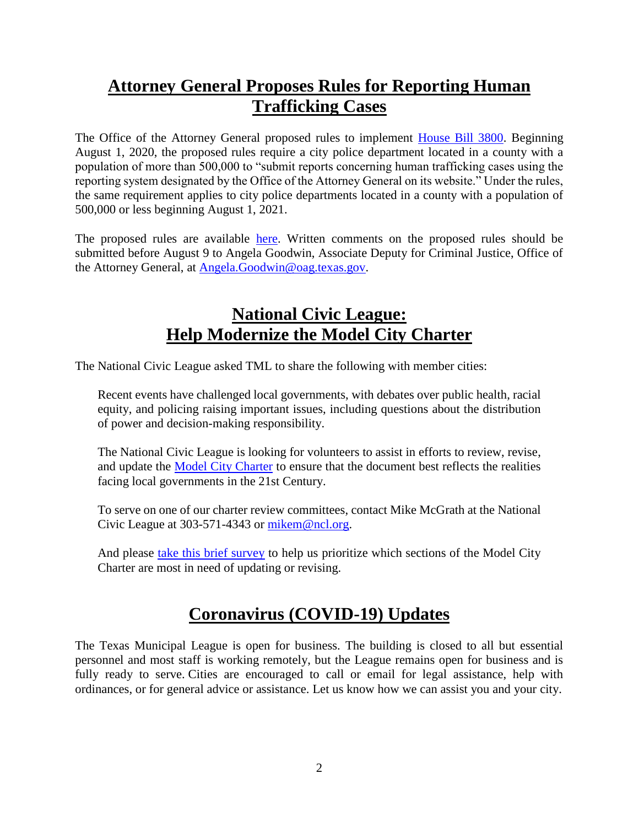# **Attorney General Proposes Rules for Reporting Human Trafficking Cases**

The Office of the Attorney General proposed rules to implement [House Bill 3800.](https://capitol.texas.gov/BillLookup/History.aspx?LegSess=86R&Bill=HB3800) Beginning August 1, 2020, the proposed rules require a city police department located in a county with a population of more than 500,000 to "submit reports concerning human trafficking cases using the reporting system designated by the Office of the Attorney General on its website." Under the rules, the same requirement applies to city police departments located in a county with a population of 500,000 or less beginning August 1, 2021.

The proposed rules are available [here.](https://www.sos.state.tx.us/texreg/archive/July102020/Proposed%20Rules/1.ADMINISTRATION.html#16) Written comments on the proposed rules should be submitted before August 9 to Angela Goodwin, Associate Deputy for Criminal Justice, Office of the Attorney General, at [Angela.Goodwin@oag.texas.gov.](mailto:Angela.Goodwin@oag.texas.gov)

#### **National Civic League: Help Modernize the Model City Charter**

The National Civic League asked TML to share the following with member cities:

Recent events have challenged local governments, with debates over public health, racial equity, and policing raising important issues, including questions about the distribution of power and decision-making responsibility.

The National Civic League is looking for volunteers to assist in efforts to review, revise, and update the [Model City Charter](https://www.nationalcivicleague.org/resources/model-city-charter-8th-edition/) to ensure that the document best reflects the realities facing local governments in the 21st Century.

To serve on one of our charter review committees, contact Mike McGrath at the National Civic League at 303-571-4343 or [mikem@ncl.org.](mailto:mikem@ncl.org)

And please [take this brief survey](https://www.surveymonkey.com/r/YGZ7FB7) to help us prioritize which sections of the Model City Charter are most in need of updating or revising.

### **Coronavirus (COVID-19) Updates**

The Texas Municipal League is open for business. The building is closed to all but essential personnel and most staff is working remotely, but the League remains open for business and is fully ready to serve. Cities are encouraged to call or email for legal assistance, help with ordinances, or for general advice or assistance. Let us know how we can assist you and your city.